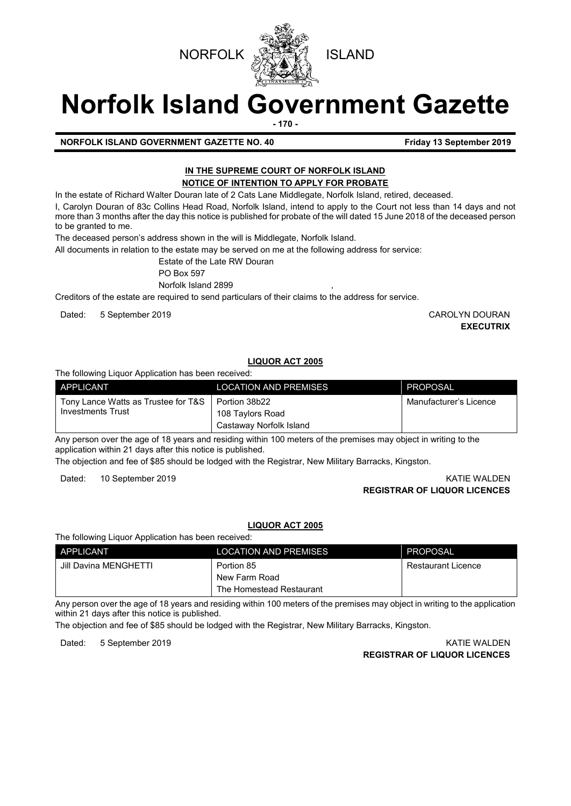



# **Norfolk Island Government Gazette**

**- 170 -**

# **NORFOLK ISLAND GOVERNMENT GAZETTE NO. 40 Friday 13 September 2019**

# **IN THE SUPREME COURT OF NORFOLK ISLAND NOTICE OF INTENTION TO APPLY FOR PROBATE**

In the estate of Richard Walter Douran late of 2 Cats Lane Middlegate, Norfolk Island, retired, deceased.

I, Carolyn Douran of 83c Collins Head Road, Norfolk Island, intend to apply to the Court not less than 14 days and not more than 3 months after the day this notice is published for probate of the will dated 15 June 2018 of the deceased person to be granted to me.

The deceased person's address shown in the will is Middlegate, Norfolk Island.

All documents in relation to the estate may be served on me at the following address for service:

Estate of the Late RW Douran

PO Box 597

Norfolk Island 2899

Creditors of the estate are required to send particulars of their claims to the address for service.

Dated: 5 September 2019 CAROLYN DOURAN

**EXECUTRIX**

# **LIQUOR ACT 2005**

# The following Liquor Application has been received:

| APPLICANT                                                                | <b>LOCATION AND PREMISES</b>                | PROPOSAL               |
|--------------------------------------------------------------------------|---------------------------------------------|------------------------|
| Tony Lance Watts as Trustee for T&S   Portion 38b22<br>Investments Trust | 108 Taylors Road<br>Castaway Norfolk Island | Manufacturer's Licence |

Any person over the age of 18 years and residing within 100 meters of the premises may object in writing to the application within 21 days after this notice is published.

The objection and fee of \$85 should be lodged with the Registrar, New Military Barracks, Kingston.

Dated: 10 September 2019 KATIE WALDEN

**REGISTRAR OF LIQUOR LICENCES**

# **LIQUOR ACT 2005**

The following Liquor Application has been received:

| APPLICANT             | <b>LOCATION AND PREMISES</b> | PROPOSAL           |
|-----------------------|------------------------------|--------------------|
| Jill Davina MENGHETTI | Portion 85                   | Restaurant Licence |
|                       | New Farm Road                |                    |
|                       | The Homestead Restaurant     |                    |

Any person over the age of 18 years and residing within 100 meters of the premises may object in writing to the application within 21 days after this notice is published.

The objection and fee of \$85 should be lodged with the Registrar, New Military Barracks, Kingston.

Dated: 5 September 2019 KATIE WALDEN **REGISTRAR OF LIQUOR LICENCES**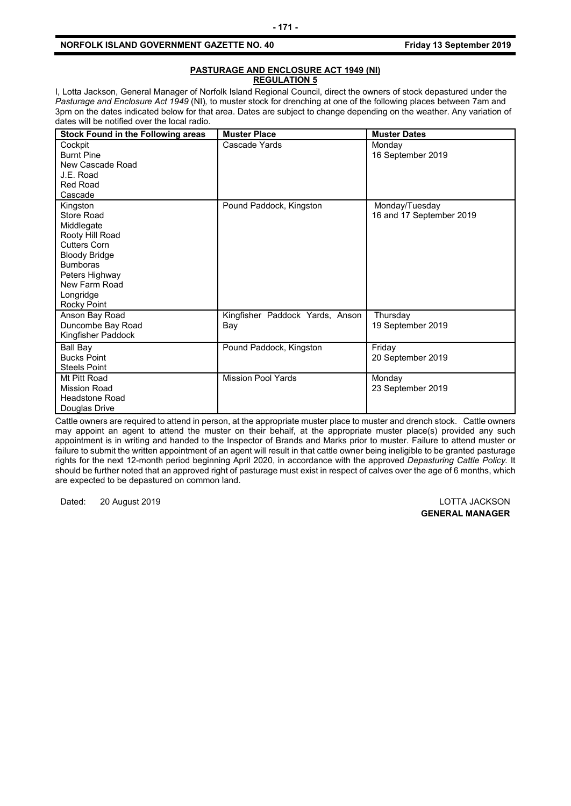# **NORFOLK ISLAND GOVERNMENT GAZETTE NO. 40 Friday 13 September 2019**

# **PASTURAGE AND ENCLOSURE ACT 1949 (NI) REGULATION 5**

I, Lotta Jackson, General Manager of Norfolk Island Regional Council, direct the owners of stock depastured under the *Pasturage and Enclosure Act 1949* (NI)*,* to muster stock for drenching at one of the following places between 7am and 3pm on the dates indicated below for that area. Dates are subject to change depending on the weather. Any variation of dates will be notified over the local radio.

| <b>Stock Found in the Following areas</b>                                                                                                                                                | <b>Muster Place</b>                    | <b>Muster Dates</b>                        |
|------------------------------------------------------------------------------------------------------------------------------------------------------------------------------------------|----------------------------------------|--------------------------------------------|
| Cockpit<br><b>Burnt Pine</b><br>New Cascade Road<br>J.E. Road<br><b>Red Road</b><br>Cascade                                                                                              | Cascade Yards                          | Monday<br>16 September 2019                |
| Kingston<br>Store Road<br>Middlegate<br>Rooty Hill Road<br><b>Cutters Corn</b><br><b>Bloody Bridge</b><br><b>Bumboras</b><br>Peters Highway<br>New Farm Road<br>Longridge<br>Rocky Point | Pound Paddock, Kingston                | Monday/Tuesday<br>16 and 17 September 2019 |
| Anson Bay Road<br>Duncombe Bay Road<br>Kingfisher Paddock                                                                                                                                | Kingfisher Paddock Yards, Anson<br>Bay | Thursday<br>19 September 2019              |
| <b>Ball Bay</b><br><b>Bucks Point</b><br><b>Steels Point</b>                                                                                                                             | Pound Paddock, Kingston                | Friday<br>20 September 2019                |
| Mt Pitt Road<br><b>Mission Road</b><br>Headstone Road<br>Douglas Drive                                                                                                                   | <b>Mission Pool Yards</b>              | Monday<br>23 September 2019                |

Cattle owners are required to attend in person, at the appropriate muster place to muster and drench stock. Cattle owners may appoint an agent to attend the muster on their behalf, at the appropriate muster place(s) provided any such appointment is in writing and handed to the Inspector of Brands and Marks prior to muster. Failure to attend muster or failure to submit the written appointment of an agent will result in that cattle owner being ineligible to be granted pasturage rights for the next 12-month period beginning April 2020, in accordance with the approved *Depasturing Cattle Policy.* It should be further noted that an approved right of pasturage must exist in respect of calves over the age of 6 months, which are expected to be depastured on common land.

Dated: 20 August 2019 LOTTA JACKSON

**GENERAL MANAGER**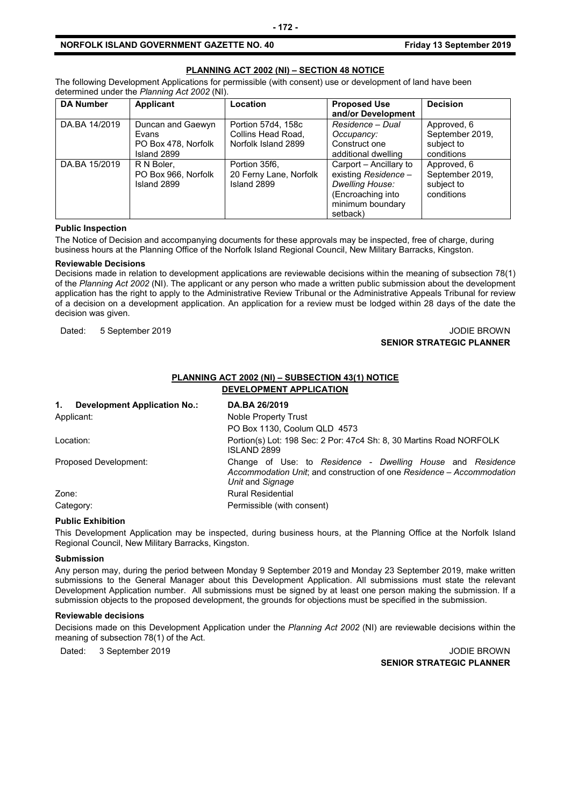# **NORFOLK ISLAND GOVERNMENT GAZETTE NO. 40 Friday 13 September 2019**

# **PLANNING ACT 2002 (NI) – SECTION 48 NOTICE**

The following Development Applications for permissible (with consent) use or development of land have been determined under the *Planning Act 2002* (NI).

| <b>DA Number</b> | Applicant                                                        | Location                                                        | <b>Proposed Use</b><br>and/or Development                                                                                     | <b>Decision</b>                                            |
|------------------|------------------------------------------------------------------|-----------------------------------------------------------------|-------------------------------------------------------------------------------------------------------------------------------|------------------------------------------------------------|
| DA.BA 14/2019    | Duncan and Gaewyn<br>Evans<br>PO Box 478, Norfolk<br>Island 2899 | Portion 57d4, 158c<br>Collins Head Road,<br>Norfolk Island 2899 | Residence - Dual<br>Occupancy:<br>Construct one<br>additional dwelling                                                        | Approved, 6<br>September 2019,<br>subject to<br>conditions |
| DA.BA 15/2019    | R N Boler.<br>PO Box 966, Norfolk<br>Island 2899                 | Portion 35f6.<br>20 Ferny Lane, Norfolk<br>Island 2899          | Carport – Ancillary to<br>existing Residence -<br><b>Dwelling House:</b><br>(Encroaching into<br>minimum boundary<br>setback) | Approved, 6<br>September 2019,<br>subject to<br>conditions |

#### **Public Inspection**

The Notice of Decision and accompanying documents for these approvals may be inspected, free of charge, during business hours at the Planning Office of the Norfolk Island Regional Council, New Military Barracks, Kingston.

#### **Reviewable Decisions**

Decisions made in relation to development applications are reviewable decisions within the meaning of subsection 78(1) of the *Planning Act 2002* (NI). The applicant or any person who made a written public submission about the development application has the right to apply to the Administrative Review Tribunal or the Administrative Appeals Tribunal for review of a decision on a development application. An application for a review must be lodged within 28 days of the date the decision was given.

Dated: 5 September 2019 JODIE BROWN

# **SENIOR STRATEGIC PLANNER**

# **PLANNING ACT 2002 (NI) – SUBSECTION 43(1) NOTICE DEVELOPMENT APPLICATION**

| 1.         | <b>Development Application No.:</b> | DA.BA 26/2019                                                                                                                                           |
|------------|-------------------------------------|---------------------------------------------------------------------------------------------------------------------------------------------------------|
| Applicant: |                                     | Noble Property Trust                                                                                                                                    |
|            |                                     | PO Box 1130, Coolum QLD 4573                                                                                                                            |
|            | Location:                           | Portion(s) Lot: 198 Sec: 2 Por: 47c4 Sh: 8, 30 Martins Road NORFOLK<br><b>ISLAND 2899</b>                                                               |
|            | Proposed Development:               | Change of Use: to Residence - Dwelling House and Residence<br>Accommodation Unit; and construction of one Residence – Accommodation<br>Unit and Signage |
| Zone:      |                                     | <b>Rural Residential</b>                                                                                                                                |
|            | Category:                           | Permissible (with consent)                                                                                                                              |

# **Public Exhibition**

This Development Application may be inspected, during business hours, at the Planning Office at the Norfolk Island Regional Council, New Military Barracks, Kingston.

#### **Submission**

Any person may, during the period between Monday 9 September 2019 and Monday 23 September 2019, make written submissions to the General Manager about this Development Application. All submissions must state the relevant Development Application number. All submissions must be signed by at least one person making the submission. If a submission objects to the proposed development, the grounds for objections must be specified in the submission.

#### **Reviewable decisions**

Decisions made on this Development Application under the *Planning Act 2002* (NI) are reviewable decisions within the meaning of subsection 78(1) of the Act.

Dated: 3 September 2019 JODIE BROWN

**SENIOR STRATEGIC PLANNER**